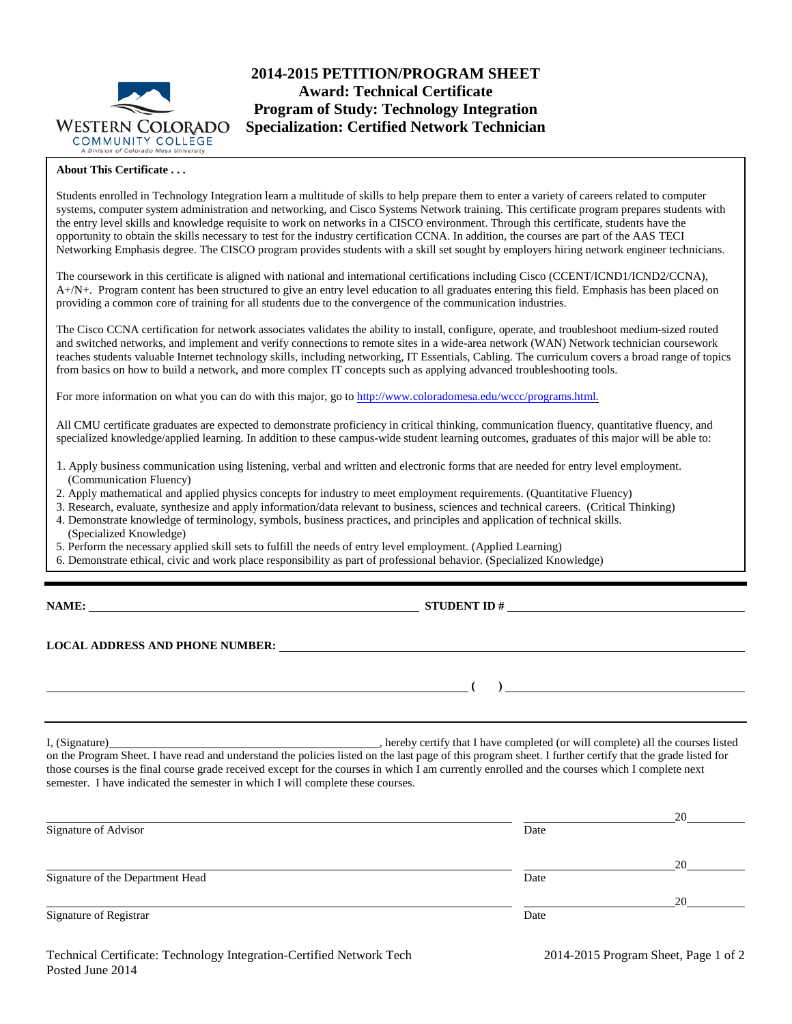

## **2014-2015 PETITION/PROGRAM SHEET Award: Technical Certificate Program of Study: Technology Integration Specialization: Certified Network Technician**

## **About This Certificate . . .**

Students enrolled in Technology Integration learn a multitude of skills to help prepare them to enter a variety of careers related to computer systems, computer system administration and networking, and Cisco Systems Network training. This certificate program prepares students with the entry level skills and knowledge requisite to work on networks in a CISCO environment. Through this certificate, students have the opportunity to obtain the skills necessary to test for the industry certification CCNA. In addition, the courses are part of the AAS TECI Networking Emphasis degree. The CISCO program provides students with a skill set sought by employers hiring network engineer technicians.

The coursework in this certificate is aligned with national and international certifications including Cisco (CCENT/ICND1/ICND2/CCNA), A+/N+. Program content has been structured to give an entry level education to all graduates entering this field. Emphasis has been placed on providing a common core of training for all students due to the convergence of the communication industries.

The Cisco CCNA certification for network associates validates the ability to install, configure, operate, and troubleshoot medium-sized routed and switched networks, and implement and verify connections to remote sites in a wide-area network (WAN) Network technician coursework teaches students valuable Internet technology skills, including networking, IT Essentials, Cabling. The curriculum covers a broad range of topics from basics on how to build a network, and more complex IT concepts such as applying advanced troubleshooting tools.

For more information on what you can do with this major, go to [http://www.coloradomesa.edu/wccc/programs.html.](http://www.coloradomesa.edu/wccc/programs.html)

All CMU certificate graduates are expected to demonstrate proficiency in critical thinking, communication fluency, quantitative fluency, and specialized knowledge/applied learning. In addition to these campus-wide student learning outcomes, graduates of this major will be able to:

- 1. Apply business communication using listening, verbal and written and electronic forms that are needed for entry level employment. (Communication Fluency)
- 2. Apply mathematical and applied physics concepts for industry to meet employment requirements. (Quantitative Fluency)
- 3. Research, evaluate, synthesize and apply information/data relevant to business, sciences and technical careers. (Critical Thinking)
- 4. Demonstrate knowledge of terminology, symbols, business practices, and principles and application of technical skills. (Specialized Knowledge)
- 5. Perform the necessary applied skill sets to fulfill the needs of entry level employment. (Applied Learning)
- 6. Demonstrate ethical, civic and work place responsibility as part of professional behavior. (Specialized Knowledge)

| <b>NAME:</b> |  |
|--------------|--|
|              |  |

**STUDENT ID #** 

**LOCAL ADDRESS AND PHONE NUMBER:**

I, (Signature) , hereby certify that I have completed (or will complete) all the courses listed on the Program Sheet. I have read and understand the policies listed on the last page of this program sheet. I further certify that the grade listed for those courses is the final course grade received except for the courses in which I am currently enrolled and the courses which I complete next semester. I have indicated the semester in which I will complete these courses.

|                                  |      | 20 |
|----------------------------------|------|----|
| Signature of Advisor             | Date |    |
|                                  |      |    |
|                                  |      | 20 |
| Signature of the Department Head | Date |    |
|                                  |      | 20 |
| Signature of Registrar           | Date |    |
|                                  |      |    |

**( )**